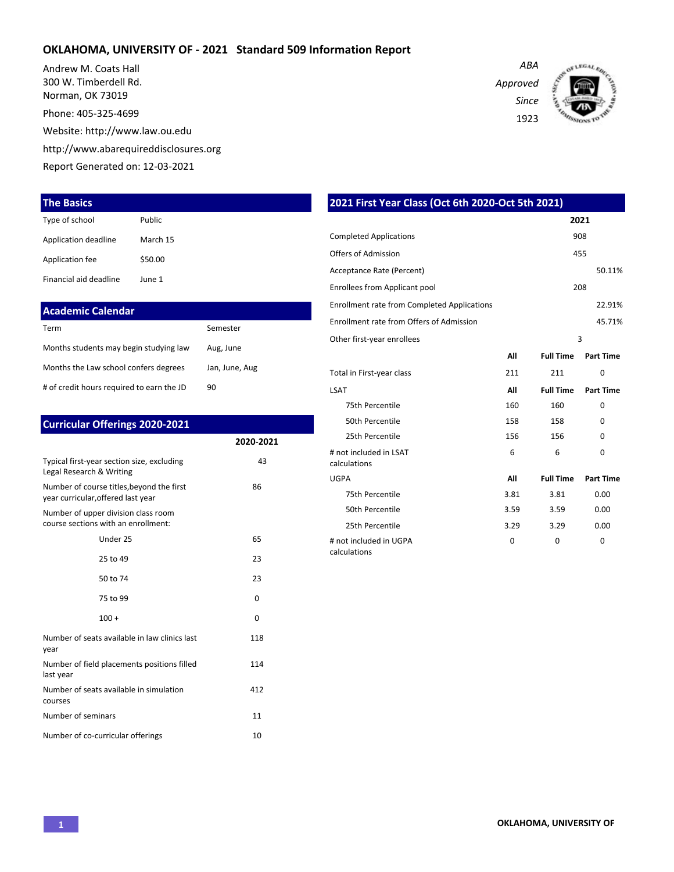#### **OKLAHOMA, UNIVERSITY OF - 2021 Standard 509 Information Report**

Andrew M. Coats Hall 300 W. Timberdell Rd. Norman, OK 73019

Phone: 405-325-4699

Website: http://www.law.ou.edu

http://www.abarequireddisclosures.org

Report Generated on: 12-03-2021

#### **The Basics**

| Type of school         | Public   |
|------------------------|----------|
| Application deadline   | March 15 |
| Application fee        | \$50.00  |
| Financial aid deadline | lune 1   |

## **Academic Calendar**

| Term                                      | Semester       |
|-------------------------------------------|----------------|
| Months students may begin studying law    | Aug, June      |
| Months the Law school confers degrees     | Jan, June, Aug |
| # of credit hours required to earn the JD | 90             |

| <b>Curricular Offerings 2020-2021</b>                                           |           |
|---------------------------------------------------------------------------------|-----------|
|                                                                                 | 2020-2021 |
| Typical first-year section size, excluding<br>Legal Research & Writing          | 43        |
| Number of course titles, beyond the first<br>year curricular, offered last year | 86        |
| Number of upper division class room<br>course sections with an enrollment:      |           |
| Under 25                                                                        | 65        |
| 25 to 49                                                                        | 23        |
| 50 to 74                                                                        | 23        |
| 75 to 99                                                                        | $\Omega$  |
| $100 +$                                                                         | $\Omega$  |
| Number of seats available in law clinics last<br>year                           | 118       |
| Number of field placements positions filled<br>last year                        | 114       |
| Number of seats available in simulation<br>courses                              | 412       |
| Number of seminars                                                              | 11        |
| Number of co-curricular offerings                                               | 10        |

| <b>Completed Applications</b>                      |      |                  | 908              |
|----------------------------------------------------|------|------------------|------------------|
| Offers of Admission                                |      |                  | 455              |
| Acceptance Rate (Percent)                          |      |                  | 50.11%           |
| Enrollees from Applicant pool                      |      |                  | 208              |
| <b>Enrollment rate from Completed Applications</b> |      |                  | 22.91%           |
| Enrollment rate from Offers of Admission           |      |                  | 45.71%           |
| Other first-year enrollees                         |      |                  | 3                |
|                                                    | All  | <b>Full Time</b> | <b>Part Time</b> |
| Total in First-year class                          | 211  | 211              | 0                |
| <b>LSAT</b>                                        | All  | <b>Full Time</b> | <b>Part Time</b> |
| 75th Percentile                                    | 160  | 160              | $\Omega$         |
| 50th Percentile                                    | 158  | 158              | $\Omega$         |
| 25th Percentile                                    | 156  | 156              | $\Omega$         |
| # not included in LSAT<br>calculations             | 6    | 6                | $\Omega$         |
| <b>UGPA</b>                                        | All  | <b>Full Time</b> | <b>Part Time</b> |
| 75th Percentile                                    | 3.81 | 3.81             | 0.00             |
| 50th Percentile                                    | 3.59 | 3.59             | 0.00             |
| 25th Percentile                                    | 3.29 | 3.29             | 0.00             |
| # not included in UGPA                             | 0    | 0                | 0                |

calculations

**2021 First Year Class (Oct 6th 2020-Oct 5th 2021)**

*Approved Since*

1923

*ABA*



**2021**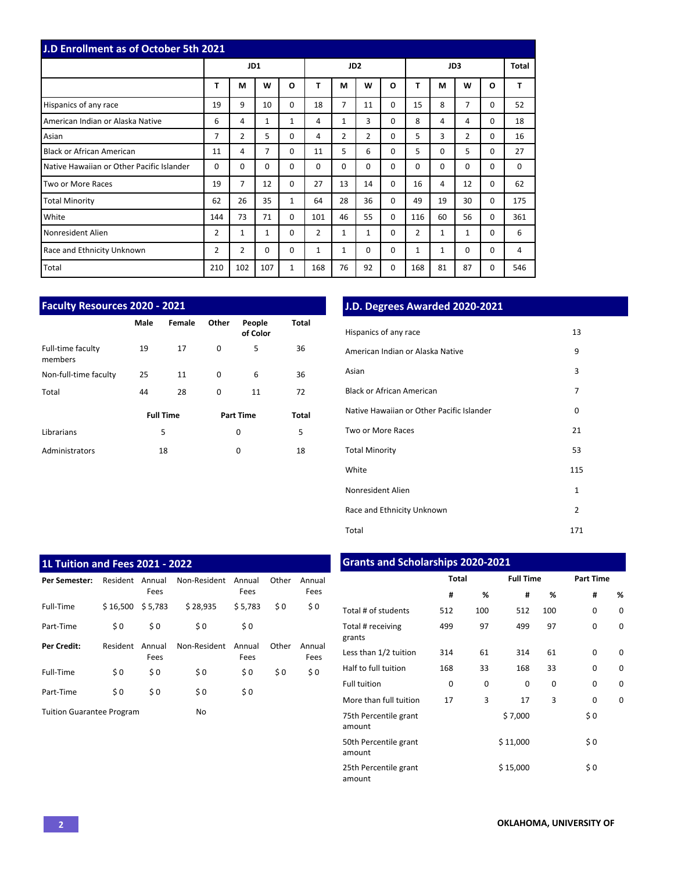| <b>J.D Enrollment as of October 5th 2021</b> |                |                |                |              |                 |                |                |   |                |          |                |          |     |
|----------------------------------------------|----------------|----------------|----------------|--------------|-----------------|----------------|----------------|---|----------------|----------|----------------|----------|-----|
|                                              | JD1            |                |                |              | JD <sub>2</sub> |                |                |   |                | JD3      |                | Total    |     |
|                                              | T              | M              | W              | $\Omega$     | T               | M              | W              | O | T              | М        | W              | O        | т   |
| Hispanics of any race                        | 19             | 9              | 10             | $\Omega$     | 18              | $\overline{7}$ | 11             | 0 | 15             | 8        | 7              | 0        | 52  |
| American Indian or Alaska Native             | 6              | 4              | $\mathbf{1}$   | 1            | 4               | $\mathbf{1}$   | 3              | 0 | 8              | 4        | 4              | 0        | 18  |
| Asian                                        | 7              | $\overline{2}$ | 5              | $\Omega$     | 4               | $\overline{2}$ | $\overline{2}$ | 0 | 5              | 3        | $\overline{2}$ | 0        | 16  |
| <b>Black or African American</b>             | 11             | 4              | $\overline{7}$ | $\Omega$     | 11              | 5              | 6              | 0 | 5              | $\Omega$ | 5              | 0        | 27  |
| Native Hawaiian or Other Pacific Islander    | 0              | 0              | $\Omega$       | $\Omega$     | $\Omega$        | $\Omega$       | $\Omega$       | 0 | $\Omega$       | $\Omega$ | 0              | 0        | 0   |
| Two or More Races                            | 19             | 7              | 12             | $\Omega$     | 27              | 13             | 14             | 0 | 16             | 4        | 12             | $\Omega$ | 62  |
| <b>Total Minority</b>                        | 62             | 26             | 35             | $\mathbf{1}$ | 64              | 28             | 36             | 0 | 49             | 19       | 30             | 0        | 175 |
| White                                        | 144            | 73             | 71             | $\Omega$     | 101             | 46             | 55             | 0 | 116            | 60       | 56             | $\Omega$ | 361 |
| Nonresident Alien                            | $\overline{2}$ | $\mathbf{1}$   | $\mathbf{1}$   | $\Omega$     | $\overline{2}$  | $\mathbf{1}$   | $\mathbf{1}$   | 0 | $\overline{2}$ | 1        | $\mathbf{1}$   | 0        | 6   |
| Race and Ethnicity Unknown                   | 2              | $\overline{2}$ | $\Omega$       | $\Omega$     | 1               | $\mathbf{1}$   | $\Omega$       | 0 | 1              | 1        | $\Omega$       | 0        | 4   |
| Total                                        | 210            | 102            | 107            | 1            | 168             | 76             | 92             | 0 | 168            | 81       | 87             | 0        | 546 |

| <b>Faculty Resources 2020 - 2021</b> |                  |        |       |                    |              |  |  |  |  |  |  |
|--------------------------------------|------------------|--------|-------|--------------------|--------------|--|--|--|--|--|--|
|                                      | Male             | Female | Other | People<br>of Color | <b>Total</b> |  |  |  |  |  |  |
| Full-time faculty<br>members         | 19               | 17     | 0     | 5                  | 36           |  |  |  |  |  |  |
| Non-full-time faculty                | 25               | 11     | 0     | 6                  | 36           |  |  |  |  |  |  |
| Total                                | 44               | 28     | 0     | 11                 | 72           |  |  |  |  |  |  |
|                                      | <b>Full Time</b> |        |       | <b>Part Time</b>   | Total        |  |  |  |  |  |  |
| Librarians                           |                  | 5      |       | 0                  | 5            |  |  |  |  |  |  |
| Administrators                       |                  | 18     |       | 0                  | 18           |  |  |  |  |  |  |

## **J.D. Degrees Awarded 2020-2021**

| Hispanics of any race                     | 13           |
|-------------------------------------------|--------------|
| American Indian or Alaska Native          | 9            |
| Asian                                     | 3            |
| Black or African American                 | 7            |
| Native Hawaiian or Other Pacific Islander | 0            |
| Two or More Races                         | 21           |
| <b>Total Minority</b>                     | 53           |
| White                                     | 115          |
| Nonresident Alien                         | $\mathbf{1}$ |
| Race and Ethnicity Unknown                | 2            |
| Total                                     | 171          |

| <b>1L Tuition and Fees 2021 - 2022</b> |          |                |              |                |       |                |  |  |  |  |  |  |  |
|----------------------------------------|----------|----------------|--------------|----------------|-------|----------------|--|--|--|--|--|--|--|
| Per Semester:                          | Resident | Annual<br>Fees | Non-Resident | Annual<br>Fees | Other | Annual<br>Fees |  |  |  |  |  |  |  |
| Full-Time                              | \$16,500 | \$5,783        | \$28,935     | \$5.783        | \$0   | \$0            |  |  |  |  |  |  |  |
| Part-Time                              | \$0      | \$0            | \$0          | \$0            |       |                |  |  |  |  |  |  |  |
| <b>Per Credit:</b>                     | Resident | Annual<br>Fees | Non-Resident | Annual<br>Fees | Other | Annual<br>Fees |  |  |  |  |  |  |  |
| Full-Time                              | \$0      | \$0            | \$0          | \$0            | \$0   | \$0            |  |  |  |  |  |  |  |
| Part-Time                              | \$0      | \$0            | \$0          | \$0            |       |                |  |  |  |  |  |  |  |
| <b>Tuition Guarantee Program</b>       |          |                | No           |                |       |                |  |  |  |  |  |  |  |

# **Grants and Scholarships 2020-2021**

|                                 | <b>Total</b> |     | <b>Full Time</b> |     | <b>Part Time</b> |   |
|---------------------------------|--------------|-----|------------------|-----|------------------|---|
|                                 | #            | %   | #                | %   | #                | % |
| Total # of students             | 512          | 100 | 512              | 100 | 0                | 0 |
| Total # receiving<br>grants     | 499          | 97  | 499              | 97  | 0                | 0 |
| Less than 1/2 tuition           | 314          | 61  | 314              | 61  | 0                | 0 |
| Half to full tuition            | 168          | 33  | 168              | 33  | 0                | 0 |
| <b>Full tuition</b>             | 0            | 0   | 0                | 0   | 0                | 0 |
| More than full tuition          | 17           | 3   | 17               | 3   | 0                | 0 |
| 75th Percentile grant<br>amount |              |     | \$7,000          |     | \$0              |   |
| 50th Percentile grant<br>amount |              |     | \$11,000         |     | \$0              |   |
| 25th Percentile grant<br>amount |              |     | \$15,000         |     | \$0              |   |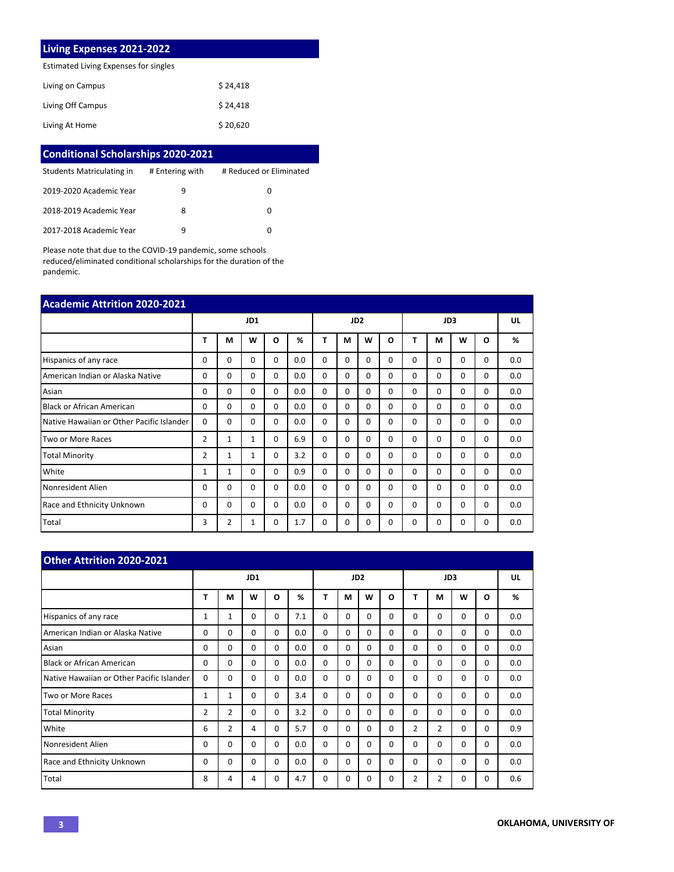#### **Living Expenses 2021-2022**

Estimated Living Expenses for singles

| Living on Campus  | \$24.418 |
|-------------------|----------|
| Living Off Campus | \$24.418 |
| Living At Home    | \$20,620 |

| <b>Conditional Scholarships 2020-2021</b> |                 |                         |
|-------------------------------------------|-----------------|-------------------------|
| Students Matriculating in                 | # Entering with | # Reduced or Eliminated |
| 2019-2020 Academic Year                   | q               | 0                       |
| 2018-2019 Academic Year                   | 8               | 0                       |
| 2017-2018 Academic Year                   | q               | O                       |

Please note that due to the COVID-19 pandemic, some schools reduced/eliminated conditional scholarships for the duration of the pandemic.

| <b>Academic Attrition 2020-2021</b>       |                |                |              |          |                 |          |          |          |          |          |          |          |          |     |
|-------------------------------------------|----------------|----------------|--------------|----------|-----------------|----------|----------|----------|----------|----------|----------|----------|----------|-----|
|                                           | JD1            |                |              |          | JD <sub>2</sub> |          |          |          |          | JD3      |          |          | UL       |     |
|                                           | T              | M              | W            | O        | %               | T        | М        | W        | O        | т        | M        | W        | O        | %   |
| Hispanics of any race                     | 0              | 0              | 0            | $\Omega$ | 0.0             | 0        | 0        | $\Omega$ | 0        | $\Omega$ | $\Omega$ | 0        | 0        | 0.0 |
| American Indian or Alaska Native          | 0              | $\Omega$       | $\Omega$     | $\Omega$ | 0.0             | 0        | 0        | $\Omega$ | 0        | $\Omega$ | $\Omega$ | 0        | 0        | 0.0 |
| Asian                                     | $\Omega$       | $\Omega$       | $\Omega$     | $\Omega$ | 0.0             | $\Omega$ | $\Omega$ | $\Omega$ | 0        | $\Omega$ | $\Omega$ | $\Omega$ | 0        | 0.0 |
| <b>Black or African American</b>          | 0              | $\Omega$       | $\Omega$     | $\Omega$ | 0.0             | $\Omega$ | $\Omega$ | $\Omega$ | 0        | $\Omega$ | $\Omega$ | $\Omega$ | 0        | 0.0 |
| Native Hawaiian or Other Pacific Islander | $\Omega$       | 0              | 0            | $\Omega$ | 0.0             | 0        | 0        | $\Omega$ | 0        | $\Omega$ | 0        | 0        | 0        | 0.0 |
| Two or More Races                         | $\overline{2}$ | $\mathbf{1}$   | 1            | $\Omega$ | 6.9             | $\Omega$ | 0        | $\Omega$ | 0        | $\Omega$ | $\Omega$ | 0        | 0        | 0.0 |
| <b>Total Minority</b>                     | $\overline{2}$ | $\mathbf{1}$   | $\mathbf{1}$ | $\Omega$ | 3.2             | $\Omega$ | 0        | $\Omega$ | $\Omega$ | $\Omega$ | $\Omega$ | $\Omega$ | 0        | 0.0 |
| White                                     | 1              | 1              | 0            | $\Omega$ | 0.9             | 0        | 0        | $\Omega$ | 0        | $\Omega$ | $\Omega$ | 0        | 0        | 0.0 |
| Nonresident Alien                         | 0              | 0              | $\Omega$     | $\Omega$ | 0.0             | $\Omega$ | $\Omega$ | $\Omega$ | $\Omega$ | $\Omega$ | $\Omega$ | $\Omega$ | $\Omega$ | 0.0 |
| Race and Ethnicity Unknown                | <sup>0</sup>   | $\Omega$       | $\Omega$     | $\Omega$ | 0.0             | $\Omega$ | $\Omega$ | $\Omega$ | $\Omega$ | $\Omega$ | $\Omega$ | $\Omega$ | $\Omega$ | 0.0 |
| Total                                     | 3              | $\overline{2}$ | 1            | 0        | 1.7             | $\Omega$ | 0        | $\Omega$ | $\Omega$ | 0        | 0        | 0        | 0        | 0.0 |

| <b>Other Attrition 2020-2021</b>          |     |                |          |          |                 |          |          |          |          |                |                |          |          |     |
|-------------------------------------------|-----|----------------|----------|----------|-----------------|----------|----------|----------|----------|----------------|----------------|----------|----------|-----|
|                                           | JD1 |                |          |          | JD <sub>2</sub> |          |          |          | JD3      |                |                |          | UL       |     |
|                                           | Т   | М              | W        | O        | %               | T        | М        | W        | $\Omega$ | Т              | М              | W        | O        | %   |
| Hispanics of any race                     | 1   | 1              | $\Omega$ | 0        | 7.1             | $\Omega$ | $\Omega$ | $\Omega$ | $\Omega$ | 0              | $\Omega$       | $\Omega$ | 0        | 0.0 |
| American Indian or Alaska Native          | 0   | 0              | $\Omega$ | $\Omega$ | 0.0             | $\Omega$ | $\Omega$ | $\Omega$ | $\Omega$ | 0              | $\Omega$       | $\Omega$ | 0        | 0.0 |
| Asian                                     | 0   | $\Omega$       | $\Omega$ | $\Omega$ | 0.0             | $\Omega$ | $\Omega$ | $\Omega$ | $\Omega$ | 0              | $\Omega$       | $\Omega$ | $\Omega$ | 0.0 |
| <b>Black or African American</b>          | 0   | 0              | $\Omega$ | $\Omega$ | 0.0             | $\Omega$ | $\Omega$ | $\Omega$ | $\Omega$ | 0              | $\Omega$       | $\Omega$ | 0        | 0.0 |
| Native Hawaiian or Other Pacific Islander | 0   | $\Omega$       | $\Omega$ | $\Omega$ | 0.0             | $\Omega$ | $\Omega$ | $\Omega$ | $\Omega$ | 0              | $\Omega$       | $\Omega$ | 0        | 0.0 |
| Two or More Races                         | 1   | 1              | $\Omega$ | 0        | 3.4             | $\Omega$ | $\Omega$ | $\Omega$ | $\Omega$ | 0              | $\Omega$       | $\Omega$ | 0        | 0.0 |
| <b>Total Minority</b>                     | 2   | $\overline{2}$ | $\Omega$ | $\Omega$ | 3.2             | $\Omega$ | $\Omega$ | $\Omega$ | $\Omega$ | 0              | $\Omega$       | $\Omega$ | $\Omega$ | 0.0 |
| White                                     | 6   | $\overline{2}$ | 4        | $\Omega$ | 5.7             | $\Omega$ | $\Omega$ | $\Omega$ | $\Omega$ | $\overline{2}$ | $\overline{2}$ | $\Omega$ | 0        | 0.9 |
| Nonresident Alien                         | 0   | 0              | $\Omega$ | $\Omega$ | 0.0             | $\Omega$ | $\Omega$ | $\Omega$ | $\Omega$ | 0              | $\Omega$       | $\Omega$ | 0        | 0.0 |
| <b>Race and Ethnicity Unknown</b>         | 0   | 0              | $\Omega$ | 0        | 0.0             | $\Omega$ | $\Omega$ | $\Omega$ | $\Omega$ | 0              | $\Omega$       | $\Omega$ | 0        | 0.0 |
| Total                                     | 8   | 4              | 4        | 0        | 4.7             | $\Omega$ | $\Omega$ | 0        | $\Omega$ | 2              | $\overline{2}$ | $\Omega$ | 0        | 0.6 |